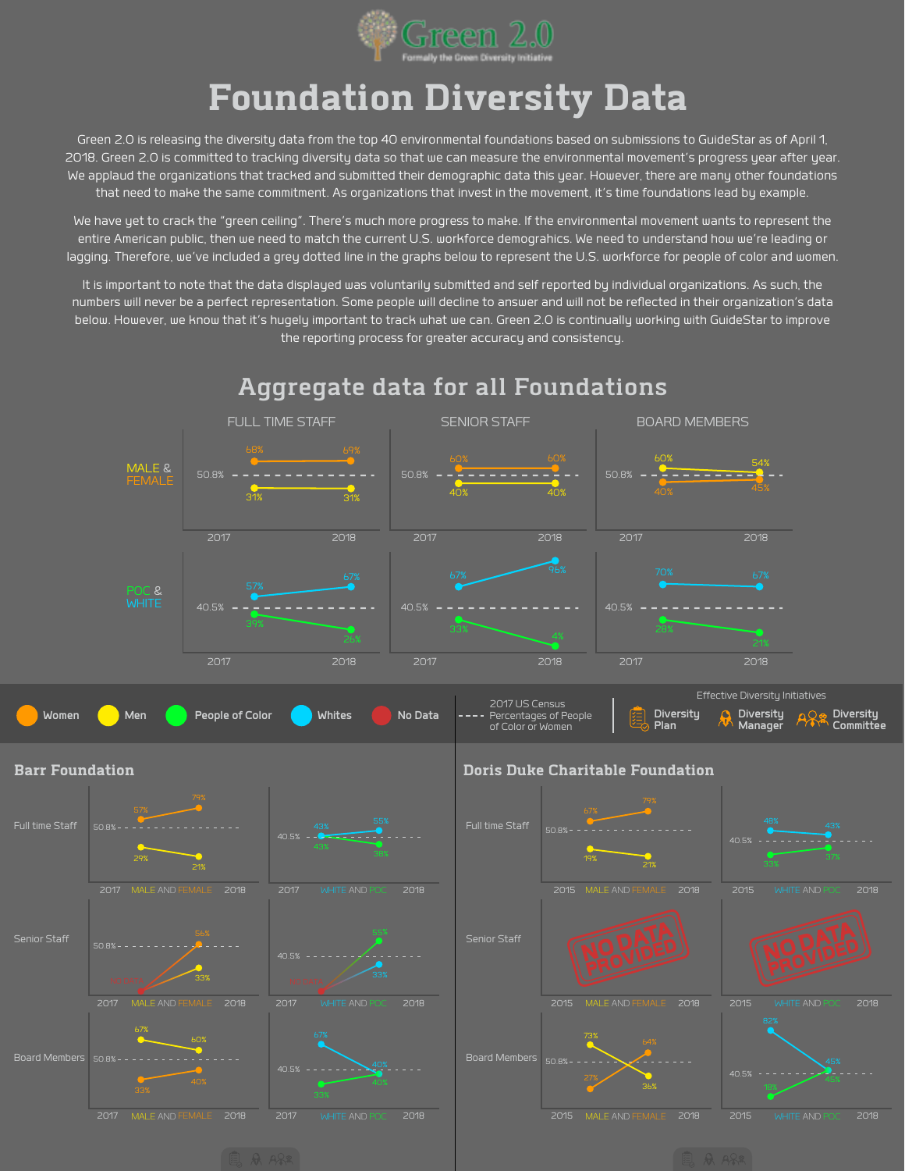

## **Foundation Diversity Data**

Green 2.0 is releasing the diversity data from the top 40 environmental foundations based on submissions to GuideStar as of April 1, 2018. Green 2.0 is committed to tracking diversity data so that we can measure the environmental movement's progress year after year. We applaud the organizations that tracked and submitted their demographic data this year. However, there are many other foundations that need to make the same commitment. As organizations that invest in the movement, it's time foundations lead by example.

We have yet to crack the "green ceiling". There's much more progress to make. If the environmental movement wants to represent the entire American public, then we need to match the current U.S. workforce demograhics. We need to understand how we're leading or lagging. Therefore, we've included a grey dotted line in the graphs below to represent the U.S. workforce for people of color and women.

It is important to note that the data displayed was voluntarily submitted and self reported by individual organizations. As such, the numbers will never be a perfect representation. Some people will decline to answer and will not be reflected in their organization's data below. However, we know that it's hugely important to track what we can. Green 2.0 is continually working with GuideStar to improve the reporting process for greater accuracy and consistency.

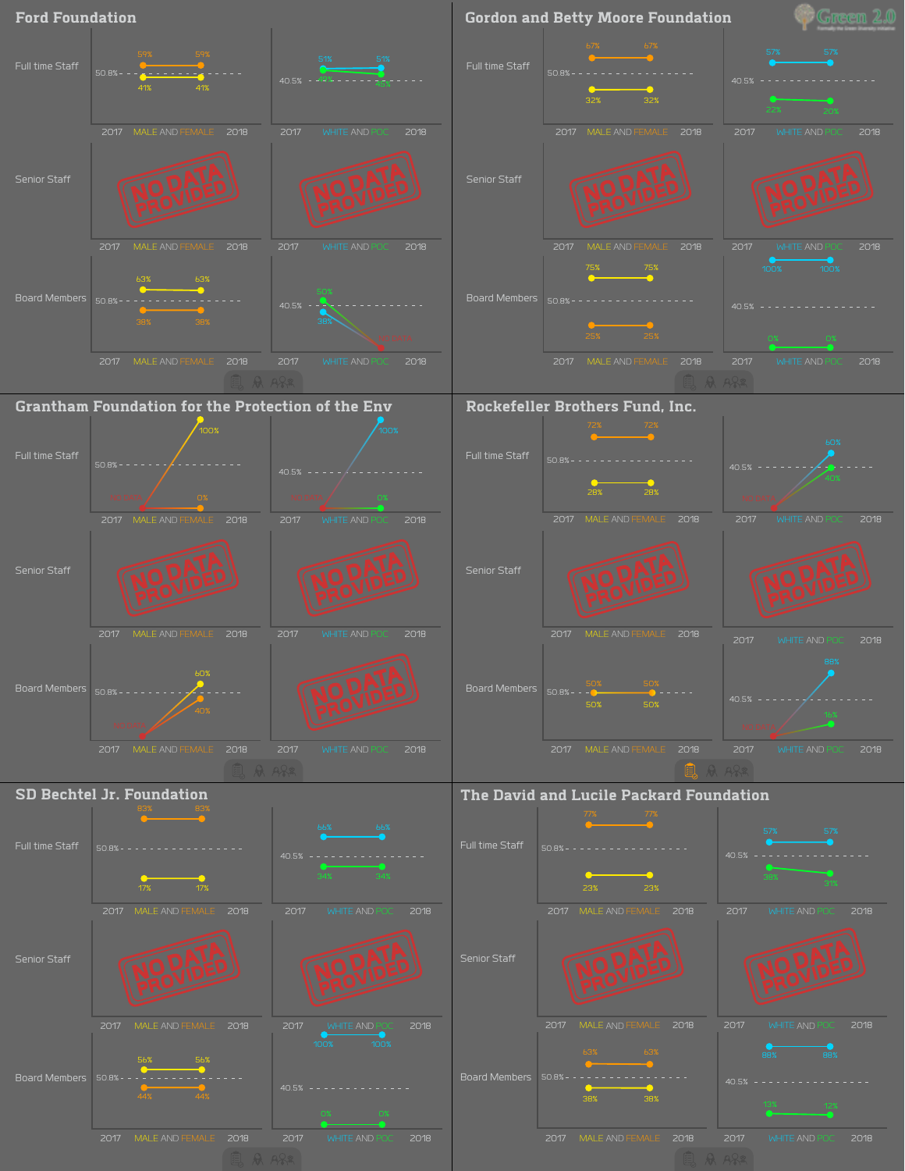